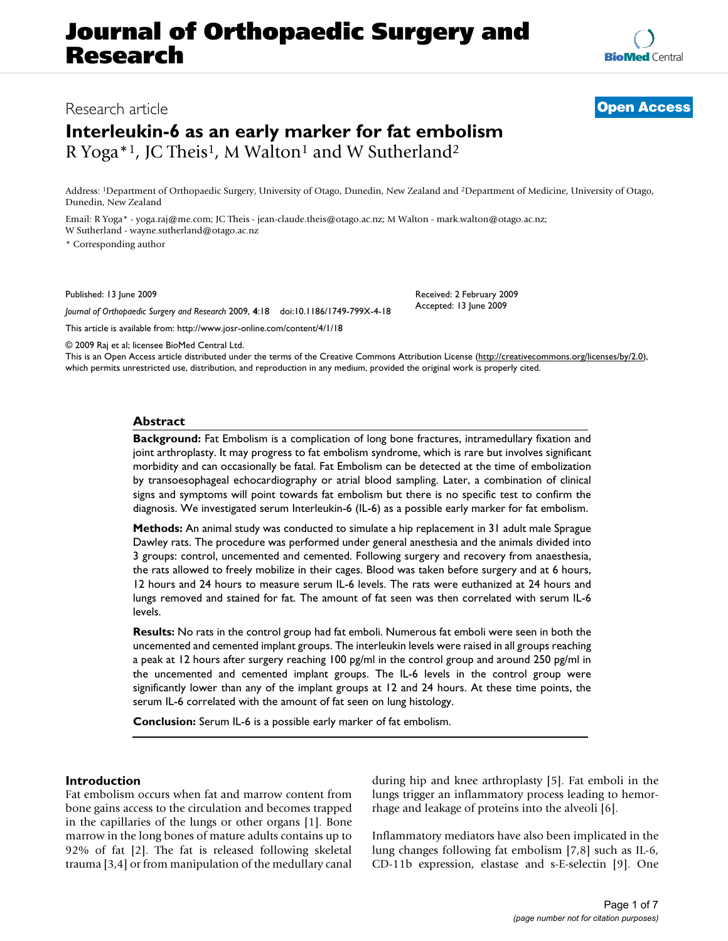# **Journal of Orthopaedic Surgery and Research**

### Research article **[Open Access](http://www.biomedcentral.com/info/about/charter/)**

## **Interleukin-6 as an early marker for fat embolism** R Yoga\*<sup>1</sup>, JC Theis<sup>1</sup>, M Walton<sup>1</sup> and W Sutherland<sup>2</sup>

Address: 1Department of Orthopaedic Surgery, University of Otago, Dunedin, New Zealand and 2Department of Medicine, University of Otago, Dunedin, New Zealand

Email: R Yoga\* - yoga.raj@me.com; JC Theis - jean-claude.theis@otago.ac.nz; M Walton - mark.walton@otago.ac.nz; W Sutherland - wayne.sutherland@otago.ac.nz

\* Corresponding author

Published: 13 June 2009

*Journal of Orthopaedic Surgery and Research* 2009, **4**:18 doi:10.1186/1749-799X-4-18

[This article is available from: http://www.josr-online.com/content/4/1/18](http://www.josr-online.com/content/4/1/18)

© 2009 Raj et al; licensee BioMed Central Ltd.

This is an Open Access article distributed under the terms of the Creative Commons Attribution License [\(http://creativecommons.org/licenses/by/2.0\)](http://creativecommons.org/licenses/by/2.0), which permits unrestricted use, distribution, and reproduction in any medium, provided the original work is properly cited.

#### **Abstract**

**Background:** Fat Embolism is a complication of long bone fractures, intramedullary fixation and joint arthroplasty. It may progress to fat embolism syndrome, which is rare but involves significant morbidity and can occasionally be fatal. Fat Embolism can be detected at the time of embolization by transoesophageal echocardiography or atrial blood sampling. Later, a combination of clinical signs and symptoms will point towards fat embolism but there is no specific test to confirm the diagnosis. We investigated serum Interleukin-6 (IL-6) as a possible early marker for fat embolism.

**Methods:** An animal study was conducted to simulate a hip replacement in 31 adult male Sprague Dawley rats. The procedure was performed under general anesthesia and the animals divided into 3 groups: control, uncemented and cemented. Following surgery and recovery from anaesthesia, the rats allowed to freely mobilize in their cages. Blood was taken before surgery and at 6 hours, 12 hours and 24 hours to measure serum IL-6 levels. The rats were euthanized at 24 hours and lungs removed and stained for fat. The amount of fat seen was then correlated with serum IL-6 levels.

**Results:** No rats in the control group had fat emboli. Numerous fat emboli were seen in both the uncemented and cemented implant groups. The interleukin levels were raised in all groups reaching a peak at 12 hours after surgery reaching 100 pg/ml in the control group and around 250 pg/ml in the uncemented and cemented implant groups. The IL-6 levels in the control group were significantly lower than any of the implant groups at 12 and 24 hours. At these time points, the serum IL-6 correlated with the amount of fat seen on lung histology.

**Conclusion:** Serum IL-6 is a possible early marker of fat embolism.

#### **Introduction**

Fat embolism occurs when fat and marrow content from bone gains access to the circulation and becomes trapped in the capillaries of the lungs or other organs [1]. Bone marrow in the long bones of mature adults contains up to 92% of fat [2]. The fat is released following skeletal trauma [3,4] or from manipulation of the medullary canal during hip and knee arthroplasty [5]. Fat emboli in the lungs trigger an inflammatory process leading to hemorrhage and leakage of proteins into the alveoli [6].

Inflammatory mediators have also been implicated in the lung changes following fat embolism [7,8] such as IL-6, CD-11b expression, elastase and s-E-selectin [9]. One



Received: 2 February 2009 Accepted: 13 June 2009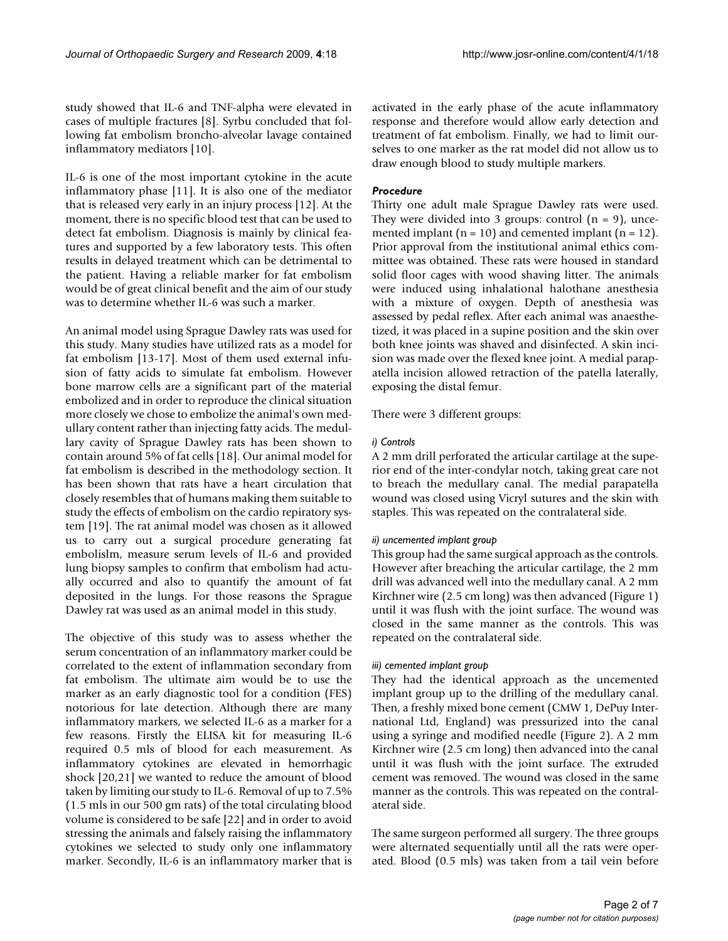study showed that IL-6 and TNF-alpha were elevated in cases of multiple fractures [8]. Syrbu concluded that following fat embolism broncho-alveolar lavage contained inflammatory mediators [10].

IL-6 is one of the most important cytokine in the acute inflammatory phase [11]. It is also one of the mediator that is released very early in an injury process [12]. At the moment, there is no specific blood test that can be used to detect fat embolism. Diagnosis is mainly by clinical features and supported by a few laboratory tests. This often results in delayed treatment which can be detrimental to the patient. Having a reliable marker for fat embolism would be of great clinical benefit and the aim of our study was to determine whether IL-6 was such a marker.

An animal model using Sprague Dawley rats was used for this study. Many studies have utilized rats as a model for fat embolism [13-17]. Most of them used external infusion of fatty acids to simulate fat embolism. However bone marrow cells are a significant part of the material embolized and in order to reproduce the clinical situation more closely we chose to embolize the animal's own medullary content rather than injecting fatty acids. The medullary cavity of Sprague Dawley rats has been shown to contain around 5% of fat cells [18]. Our animal model for fat embolism is described in the methodology section. It has been shown that rats have a heart circulation that closely resembles that of humans making them suitable to study the effects of embolism on the cardio repiratory system [19]. The rat animal model was chosen as it allowed us to carry out a surgical procedure generating fat embolislm, measure serum levels of IL-6 and provided lung biopsy samples to confirm that embolism had actually occurred and also to quantify the amount of fat deposited in the lungs. For those reasons the Sprague Dawley rat was used as an animal model in this study.

The objective of this study was to assess whether the serum concentration of an inflammatory marker could be correlated to the extent of inflammation secondary from fat embolism. The ultimate aim would be to use the marker as an early diagnostic tool for a condition (FES) notorious for late detection. Although there are many inflammatory markers, we selected IL-6 as a marker for a few reasons. Firstly the ELISA kit for measuring IL-6 required 0.5 mls of blood for each measurement. As inflammatory cytokines are elevated in hemorrhagic shock [20,21] we wanted to reduce the amount of blood taken by limiting our study to IL-6. Removal of up to 7.5% (1.5 mls in our 500 gm rats) of the total circulating blood volume is considered to be safe [22] and in order to avoid stressing the animals and falsely raising the inflammatory cytokines we selected to study only one inflammatory marker. Secondly, IL-6 is an inflammatory marker that is

activated in the early phase of the acute inflammatory response and therefore would allow early detection and treatment of fat embolism. Finally, we had to limit ourselves to one marker as the rat model did not allow us to draw enough blood to study multiple markers.

#### *Procedure*

Thirty one adult male Sprague Dawley rats were used. They were divided into 3 groups: control  $(n = 9)$ , uncemented implant ( $n = 10$ ) and cemented implant ( $n = 12$ ). Prior approval from the institutional animal ethics committee was obtained. These rats were housed in standard solid floor cages with wood shaving litter. The animals were induced using inhalational halothane anesthesia with a mixture of oxygen. Depth of anesthesia was assessed by pedal reflex. After each animal was anaesthetized, it was placed in a supine position and the skin over both knee joints was shaved and disinfected. A skin incision was made over the flexed knee joint. A medial parapatella incision allowed retraction of the patella laterally, exposing the distal femur.

There were 3 different groups:

#### *i) Controls*

A 2 mm drill perforated the articular cartilage at the superior end of the inter-condylar notch, taking great care not to breach the medullary canal. The medial parapatella wound was closed using Vicryl sutures and the skin with staples. This was repeated on the contralateral side.

#### *ii) uncemented implant group*

This group had the same surgical approach as the controls. However after breaching the articular cartilage, the 2 mm drill was advanced well into the medullary canal. A 2 mm Kirchner wire (2.5 cm long) was then advanced (Figure 1) until it was flush with the joint surface. The wound was closed in the same manner as the controls. This was repeated on the contralateral side.

#### *iii) cemented implant group*

They had the identical approach as the uncemented implant group up to the drilling of the medullary canal. Then, a freshly mixed bone cement (CMW 1, DePuy International Ltd, England) was pressurized into the canal using a syringe and modified needle (Figure 2). A 2 mm Kirchner wire (2.5 cm long) then advanced into the canal until it was flush with the joint surface. The extruded cement was removed. The wound was closed in the same manner as the controls. This was repeated on the contralateral side.

The same surgeon performed all surgery. The three groups were alternated sequentially until all the rats were operated. Blood (0.5 mls) was taken from a tail vein before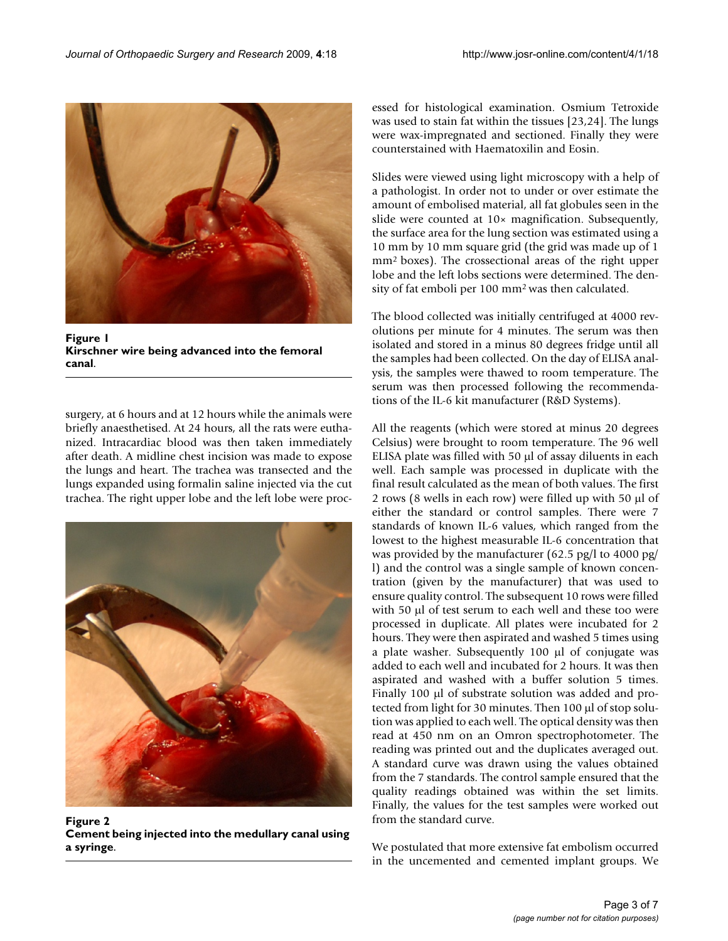

**Figure 1 Kirschner wire being advanced into the femoral canal**.

surgery, at 6 hours and at 12 hours while the animals were briefly anaesthetised. At 24 hours, all the rats were euthanized. Intracardiac blood was then taken immediately after death. A midline chest incision was made to expose the lungs and heart. The trachea was transected and the lungs expanded using formalin saline injected via the cut trachea. The right upper lobe and the left lobe were proc-



**Figure 2 Cement being injected into the medullary canal using a syringe**.

essed for histological examination. Osmium Tetroxide was used to stain fat within the tissues [23,24]. The lungs were wax-impregnated and sectioned. Finally they were counterstained with Haematoxilin and Eosin.

Slides were viewed using light microscopy with a help of a pathologist. In order not to under or over estimate the amount of embolised material, all fat globules seen in the slide were counted at 10× magnification. Subsequently, the surface area for the lung section was estimated using a 10 mm by 10 mm square grid (the grid was made up of 1 mm2 boxes). The crossectional areas of the right upper lobe and the left lobs sections were determined. The density of fat emboli per 100 mm2 was then calculated.

The blood collected was initially centrifuged at 4000 revolutions per minute for 4 minutes. The serum was then isolated and stored in a minus 80 degrees fridge until all the samples had been collected. On the day of ELISA analysis, the samples were thawed to room temperature. The serum was then processed following the recommendations of the IL-6 kit manufacturer (R&D Systems).

All the reagents (which were stored at minus 20 degrees Celsius) were brought to room temperature. The 96 well ELISA plate was filled with 50 μl of assay diluents in each well. Each sample was processed in duplicate with the final result calculated as the mean of both values. The first 2 rows (8 wells in each row) were filled up with 50 μl of either the standard or control samples. There were 7 standards of known IL-6 values, which ranged from the lowest to the highest measurable IL-6 concentration that was provided by the manufacturer (62.5 pg/l to 4000 pg/ l) and the control was a single sample of known concentration (given by the manufacturer) that was used to ensure quality control. The subsequent 10 rows were filled with 50 μl of test serum to each well and these too were processed in duplicate. All plates were incubated for 2 hours. They were then aspirated and washed 5 times using a plate washer. Subsequently 100 μl of conjugate was added to each well and incubated for 2 hours. It was then aspirated and washed with a buffer solution 5 times. Finally 100 μl of substrate solution was added and protected from light for 30 minutes. Then 100 μl of stop solution was applied to each well. The optical density was then read at 450 nm on an Omron spectrophotometer. The reading was printed out and the duplicates averaged out. A standard curve was drawn using the values obtained from the 7 standards. The control sample ensured that the quality readings obtained was within the set limits. Finally, the values for the test samples were worked out from the standard curve.

We postulated that more extensive fat embolism occurred in the uncemented and cemented implant groups. We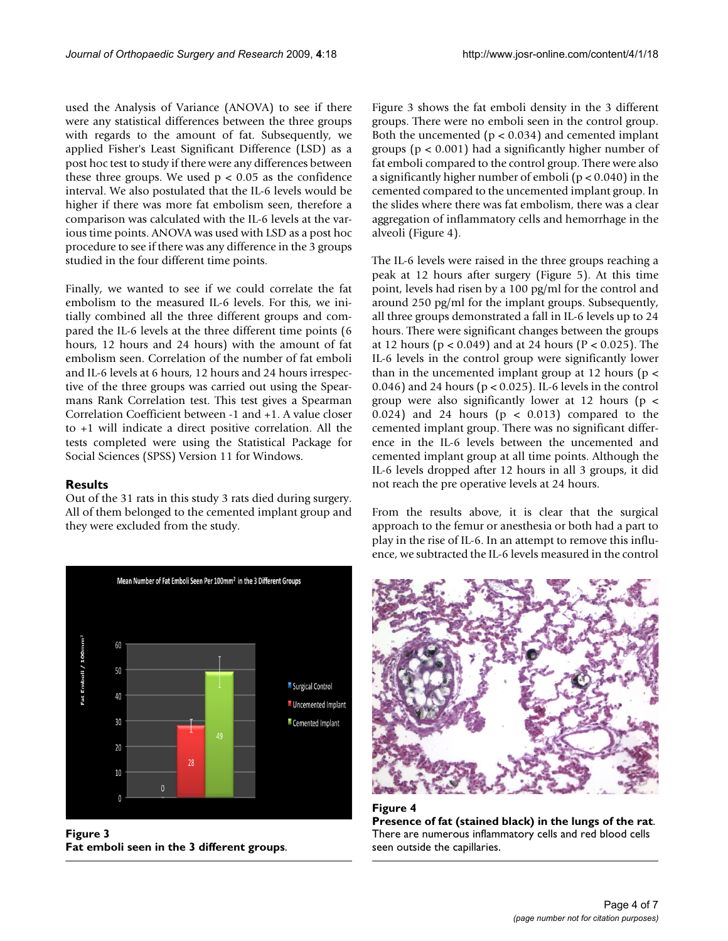used the Analysis of Variance (ANOVA) to see if there were any statistical differences between the three groups with regards to the amount of fat. Subsequently, we applied Fisher's Least Significant Difference (LSD) as a post hoc test to study if there were any differences between these three groups. We used  $p < 0.05$  as the confidence interval. We also postulated that the IL-6 levels would be higher if there was more fat embolism seen, therefore a comparison was calculated with the IL-6 levels at the various time points. ANOVA was used with LSD as a post hoc procedure to see if there was any difference in the 3 groups studied in the four different time points.

Finally, we wanted to see if we could correlate the fat embolism to the measured IL-6 levels. For this, we initially combined all the three different groups and compared the IL-6 levels at the three different time points (6 hours, 12 hours and 24 hours) with the amount of fat embolism seen. Correlation of the number of fat emboli and IL-6 levels at 6 hours, 12 hours and 24 hours irrespective of the three groups was carried out using the Spearmans Rank Correlation test. This test gives a Spearman Correlation Coefficient between -1 and +1. A value closer to +1 will indicate a direct positive correlation. All the tests completed were using the Statistical Package for Social Sciences (SPSS) Version 11 for Windows.

#### **Results**

Out of the 31 rats in this study 3 rats died during surgery. All of them belonged to the cemented implant group and they were excluded from the study.



**Figure 3 Fat emboli seen in the 3 different groups**.

Figure 3 shows the fat emboli density in the 3 different groups. There were no emboli seen in the control group. Both the uncemented  $(p < 0.034)$  and cemented implant groups (p < 0.001) had a significantly higher number of fat emboli compared to the control group. There were also a significantly higher number of emboli (p < 0.040) in the cemented compared to the uncemented implant group. In the slides where there was fat embolism, there was a clear aggregation of inflammatory cells and hemorrhage in the alveoli (Figure 4).

The IL-6 levels were raised in the three groups reaching a peak at 12 hours after surgery (Figure 5). At this time point, levels had risen by a 100 pg/ml for the control and around 250 pg/ml for the implant groups. Subsequently, all three groups demonstrated a fall in IL-6 levels up to 24 hours. There were significant changes between the groups at 12 hours (p < 0.049) and at 24 hours (P < 0.025). The IL-6 levels in the control group were significantly lower than in the uncemented implant group at 12 hours ( $p <$ 0.046) and 24 hours ( $p < 0.025$ ). IL-6 levels in the control group were also significantly lower at 12 hours ( $p <$ 0.024) and 24 hours ( $p < 0.013$ ) compared to the cemented implant group. There was no significant difference in the IL-6 levels between the uncemented and cemented implant group at all time points. Although the IL-6 levels dropped after 12 hours in all 3 groups, it did not reach the pre operative levels at 24 hours.

From the results above, it is clear that the surgical approach to the femur or anesthesia or both had a part to play in the rise of IL-6. In an attempt to remove this influence, we subtracted the IL-6 levels measured in the control



**Figure 4 Presence of fat (stained black) in the lungs of the rat**. There are numerous inflammatory cells and red blood cells seen outside the capillaries.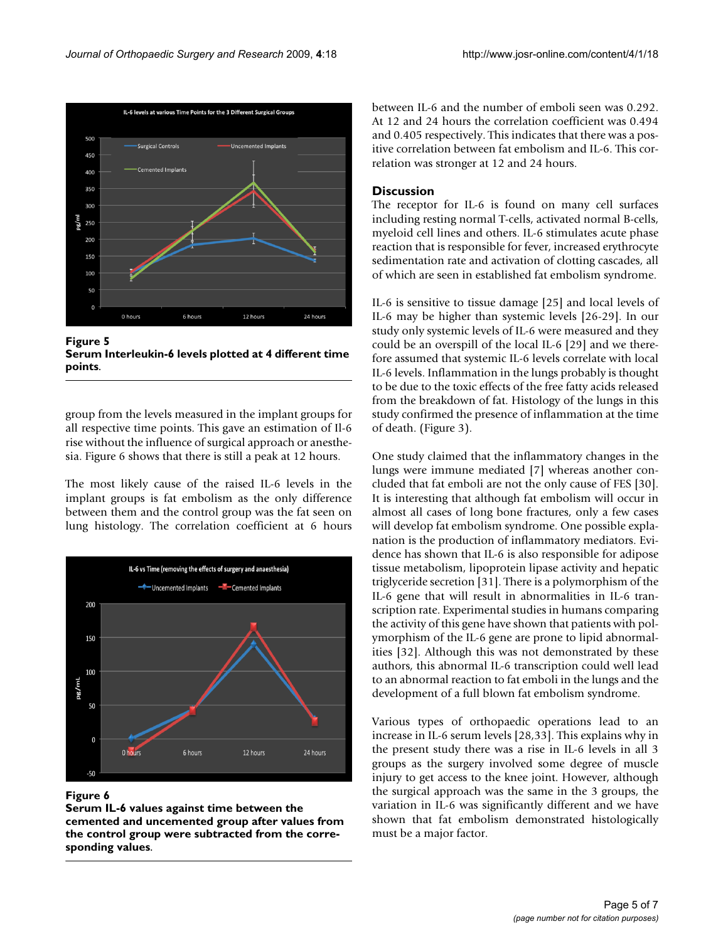

**Figure 5 Serum Interleukin-6 levels plotted at 4 different time points**.

group from the levels measured in the implant groups for all respective time points. This gave an estimation of Il-6 rise without the influence of surgical approach or anesthesia. Figure 6 shows that there is still a peak at 12 hours.

The most likely cause of the raised IL-6 levels in the implant groups is fat embolism as the only difference between them and the control group was the fat seen on lung histology. The correlation coefficient at 6 hours



### Figure 6

**Serum IL-6 values against time between the cemented and uncemented group after values from the control group were subtracted from the corresponding values**.

between IL-6 and the number of emboli seen was 0.292. At 12 and 24 hours the correlation coefficient was 0.494 and 0.405 respectively. This indicates that there was a positive correlation between fat embolism and IL-6. This correlation was stronger at 12 and 24 hours.

### **Discussion**

The receptor for IL-6 is found on many cell surfaces including resting normal T-cells, activated normal B-cells, myeloid cell lines and others. IL-6 stimulates acute phase reaction that is responsible for fever, increased erythrocyte sedimentation rate and activation of clotting cascades, all of which are seen in established fat embolism syndrome.

IL-6 is sensitive to tissue damage [25] and local levels of IL-6 may be higher than systemic levels [26-29]. In our study only systemic levels of IL-6 were measured and they could be an overspill of the local IL-6 [29] and we therefore assumed that systemic IL-6 levels correlate with local IL-6 levels. Inflammation in the lungs probably is thought to be due to the toxic effects of the free fatty acids released from the breakdown of fat. Histology of the lungs in this study confirmed the presence of inflammation at the time of death. (Figure 3).

One study claimed that the inflammatory changes in the lungs were immune mediated [7] whereas another concluded that fat emboli are not the only cause of FES [30]. It is interesting that although fat embolism will occur in almost all cases of long bone fractures, only a few cases will develop fat embolism syndrome. One possible explanation is the production of inflammatory mediators. Evidence has shown that IL-6 is also responsible for adipose tissue metabolism, lipoprotein lipase activity and hepatic triglyceride secretion [31]. There is a polymorphism of the IL-6 gene that will result in abnormalities in IL-6 transcription rate. Experimental studies in humans comparing the activity of this gene have shown that patients with polymorphism of the IL-6 gene are prone to lipid abnormalities [32]. Although this was not demonstrated by these authors, this abnormal IL-6 transcription could well lead to an abnormal reaction to fat emboli in the lungs and the development of a full blown fat embolism syndrome.

Various types of orthopaedic operations lead to an increase in IL-6 serum levels [28,33]. This explains why in the present study there was a rise in IL-6 levels in all 3 groups as the surgery involved some degree of muscle injury to get access to the knee joint. However, although the surgical approach was the same in the 3 groups, the variation in IL-6 was significantly different and we have shown that fat embolism demonstrated histologically must be a major factor.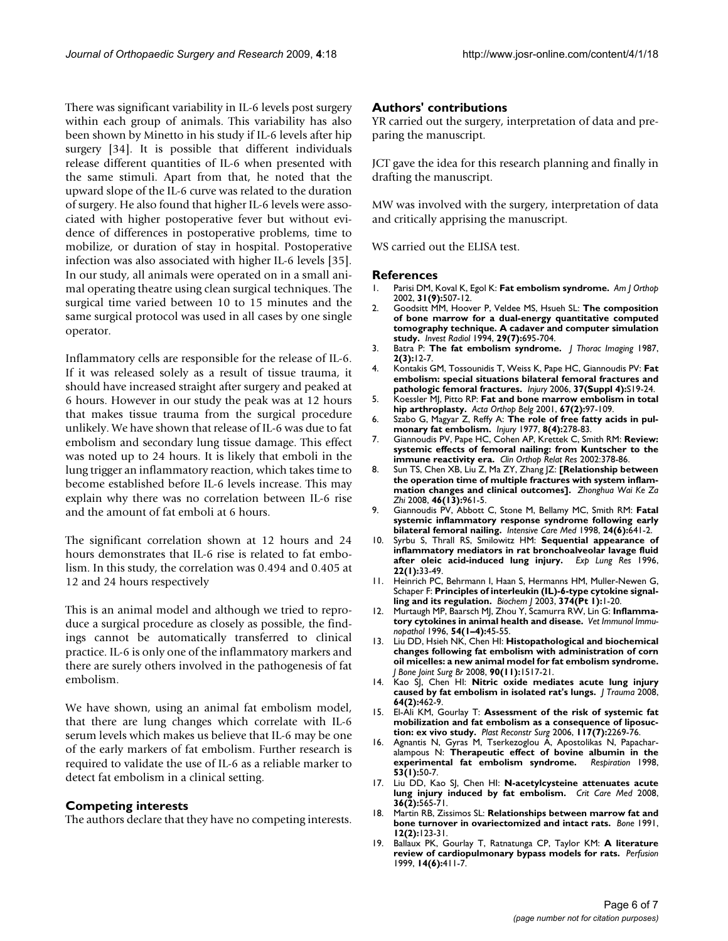There was significant variability in IL-6 levels post surgery within each group of animals. This variability has also been shown by Minetto in his study if IL-6 levels after hip surgery [34]. It is possible that different individuals release different quantities of IL-6 when presented with the same stimuli. Apart from that, he noted that the upward slope of the IL-6 curve was related to the duration of surgery. He also found that higher IL-6 levels were associated with higher postoperative fever but without evidence of differences in postoperative problems, time to mobilize, or duration of stay in hospital. Postoperative infection was also associated with higher IL-6 levels [35]. In our study, all animals were operated on in a small animal operating theatre using clean surgical techniques. The surgical time varied between 10 to 15 minutes and the same surgical protocol was used in all cases by one single operator.

Inflammatory cells are responsible for the release of IL-6. If it was released solely as a result of tissue trauma, it should have increased straight after surgery and peaked at 6 hours. However in our study the peak was at 12 hours that makes tissue trauma from the surgical procedure unlikely. We have shown that release of IL-6 was due to fat embolism and secondary lung tissue damage. This effect was noted up to 24 hours. It is likely that emboli in the lung trigger an inflammatory reaction, which takes time to become established before IL-6 levels increase. This may explain why there was no correlation between IL-6 rise and the amount of fat emboli at 6 hours.

The significant correlation shown at 12 hours and 24 hours demonstrates that IL-6 rise is related to fat embolism. In this study, the correlation was 0.494 and 0.405 at 12 and 24 hours respectively

This is an animal model and although we tried to reproduce a surgical procedure as closely as possible, the findings cannot be automatically transferred to clinical practice. IL-6 is only one of the inflammatory markers and there are surely others involved in the pathogenesis of fat embolism.

We have shown, using an animal fat embolism model, that there are lung changes which correlate with IL-6 serum levels which makes us believe that IL-6 may be one of the early markers of fat embolism. Further research is required to validate the use of IL-6 as a reliable marker to detect fat embolism in a clinical setting.

### **Competing interests**

The authors declare that they have no competing interests.

### **Authors' contributions**

YR carried out the surgery, interpretation of data and preparing the manuscript.

JCT gave the idea for this research planning and finally in drafting the manuscript.

MW was involved with the surgery, interpretation of data and critically apprising the manuscript.

WS carried out the ELISA test.

#### **References**

- 1. Parisi DM, Koval K, Egol K: **[Fat embolism syndrome.](http://www.ncbi.nlm.nih.gov/entrez/query.fcgi?cmd=Retrieve&db=PubMed&dopt=Abstract&list_uids=12650535)** *Am J Orthop* 2002, **31(9):**507-12.
- 2. Goodsitt MM, Hoover P, Veldee MS, Hsueh SL: **[The composition](http://www.ncbi.nlm.nih.gov/entrez/query.fcgi?cmd=Retrieve&db=PubMed&dopt=Abstract&list_uids=7960616) [of bone marrow for a dual-energy quantitative computed](http://www.ncbi.nlm.nih.gov/entrez/query.fcgi?cmd=Retrieve&db=PubMed&dopt=Abstract&list_uids=7960616) tomography technique. A cadaver and computer simulation [study.](http://www.ncbi.nlm.nih.gov/entrez/query.fcgi?cmd=Retrieve&db=PubMed&dopt=Abstract&list_uids=7960616)** *Invest Radiol* 1994, **29(7):**695-704.
- 3. Batra P: **[The fat embolism syndrome.](http://www.ncbi.nlm.nih.gov/entrez/query.fcgi?cmd=Retrieve&db=PubMed&dopt=Abstract&list_uids=3612920)** *J Thorac Imaging* 1987, **2(3):**12-7.
- 4. Kontakis GM, Tossounidis T, Weiss K, Pape HC, Giannoudis PV: **[Fat](http://www.ncbi.nlm.nih.gov/entrez/query.fcgi?cmd=Retrieve&db=PubMed&dopt=Abstract&list_uids=16990057) [embolism: special situations bilateral femoral fractures and](http://www.ncbi.nlm.nih.gov/entrez/query.fcgi?cmd=Retrieve&db=PubMed&dopt=Abstract&list_uids=16990057) [pathologic femoral fractures.](http://www.ncbi.nlm.nih.gov/entrez/query.fcgi?cmd=Retrieve&db=PubMed&dopt=Abstract&list_uids=16990057)** *Injury* 2006, **37(Suppl 4):**S19-24.
- 5. Koessler MJ, Pitto RP: **[Fat and bone marrow embolism in total](http://www.ncbi.nlm.nih.gov/entrez/query.fcgi?cmd=Retrieve&db=PubMed&dopt=Abstract&list_uids=11383302) [hip arthroplasty.](http://www.ncbi.nlm.nih.gov/entrez/query.fcgi?cmd=Retrieve&db=PubMed&dopt=Abstract&list_uids=11383302)** *Acta Orthop Belg* 2001, **67(2):**97-109.
- 6. Szabo G, Magyar Z, Reffy A: **[The role of free fatty acids in pul](http://www.ncbi.nlm.nih.gov/entrez/query.fcgi?cmd=Retrieve&db=PubMed&dopt=Abstract&list_uids=870422)[monary fat embolism.](http://www.ncbi.nlm.nih.gov/entrez/query.fcgi?cmd=Retrieve&db=PubMed&dopt=Abstract&list_uids=870422)** *Injury* 1977, **8(4):**278-83.
- 7. Giannoudis PV, Pape HC, Cohen AP, Krettek C, Smith RM: **[Review:](http://www.ncbi.nlm.nih.gov/entrez/query.fcgi?cmd=Retrieve&db=PubMed&dopt=Abstract&list_uids=12439284) [systemic effects of femoral nailing: from Kuntscher to the](http://www.ncbi.nlm.nih.gov/entrez/query.fcgi?cmd=Retrieve&db=PubMed&dopt=Abstract&list_uids=12439284) [immune reactivity era.](http://www.ncbi.nlm.nih.gov/entrez/query.fcgi?cmd=Retrieve&db=PubMed&dopt=Abstract&list_uids=12439284)** *Clin Orthop Relat Res* 2002:378-86.
- 8. Sun TS, Chen XB, Liu Z, Ma ZY, Zhang JZ: **[\[Relationship between](http://www.ncbi.nlm.nih.gov/entrez/query.fcgi?cmd=Retrieve&db=PubMed&dopt=Abstract&list_uids=19035192) [the operation time of multiple fractures with system inflam](http://www.ncbi.nlm.nih.gov/entrez/query.fcgi?cmd=Retrieve&db=PubMed&dopt=Abstract&list_uids=19035192)[mation changes and clinical outcomes\].](http://www.ncbi.nlm.nih.gov/entrez/query.fcgi?cmd=Retrieve&db=PubMed&dopt=Abstract&list_uids=19035192)** *Zhonghua Wai Ke Za Zhi* 2008, **46(13):**961-5.
- 9. Giannoudis PV, Abbott C, Stone M, Bellamy MC, Smith RM: **[Fatal](http://www.ncbi.nlm.nih.gov/entrez/query.fcgi?cmd=Retrieve&db=PubMed&dopt=Abstract&list_uids=9681792) [systemic inflammatory response syndrome following early](http://www.ncbi.nlm.nih.gov/entrez/query.fcgi?cmd=Retrieve&db=PubMed&dopt=Abstract&list_uids=9681792) [bilateral femoral nailing.](http://www.ncbi.nlm.nih.gov/entrez/query.fcgi?cmd=Retrieve&db=PubMed&dopt=Abstract&list_uids=9681792)** *Intensive Care Med* 1998, **24(6):**641-2.
- 10. Syrbu S, Thrall RS, Smilowitz HM: **[Sequential appearance of](http://www.ncbi.nlm.nih.gov/entrez/query.fcgi?cmd=Retrieve&db=PubMed&dopt=Abstract&list_uids=8838134) [inflammatory mediators in rat bronchoalveolar lavage fluid](http://www.ncbi.nlm.nih.gov/entrez/query.fcgi?cmd=Retrieve&db=PubMed&dopt=Abstract&list_uids=8838134) [after oleic acid-induced lung injury.](http://www.ncbi.nlm.nih.gov/entrez/query.fcgi?cmd=Retrieve&db=PubMed&dopt=Abstract&list_uids=8838134)** *Exp Lung Res* 1996, **22(1):**33-49.
- 11. Heinrich PC, Behrmann I, Haan S, Hermanns HM, Muller-Newen G, Schaper F: **[Principles of interleukin \(IL\)-6-type cytokine signal](http://www.ncbi.nlm.nih.gov/entrez/query.fcgi?cmd=Retrieve&db=PubMed&dopt=Abstract&list_uids=12773095)[ling and its regulation.](http://www.ncbi.nlm.nih.gov/entrez/query.fcgi?cmd=Retrieve&db=PubMed&dopt=Abstract&list_uids=12773095)** *Biochem J* 2003, **374(Pt 1):**1-20.
- 12. Murtaugh MP, Baarsch MJ, Zhou Y, Scamurra RW, Lin G: **[Inflamma](http://www.ncbi.nlm.nih.gov/entrez/query.fcgi?cmd=Retrieve&db=PubMed&dopt=Abstract&list_uids=8988847)[tory cytokines in animal health and disease.](http://www.ncbi.nlm.nih.gov/entrez/query.fcgi?cmd=Retrieve&db=PubMed&dopt=Abstract&list_uids=8988847)** *Vet Immunol Immunopathol* 1996, **54(1–4):**45-55.
- 13. Liu DD, Hsieh NK, Chen HI: **[Histopathological and biochemical](http://www.ncbi.nlm.nih.gov/entrez/query.fcgi?cmd=Retrieve&db=PubMed&dopt=Abstract&list_uids=18978276) [changes following fat embolism with administration of corn](http://www.ncbi.nlm.nih.gov/entrez/query.fcgi?cmd=Retrieve&db=PubMed&dopt=Abstract&list_uids=18978276) oil micelles: a new animal model for fat embolism syndrome.** *J Bone Joint Surg Br* 2008, **90(11):**1517-21.
- 14. Kao SJ, Chen HI: **[Nitric oxide mediates acute lung injury](http://www.ncbi.nlm.nih.gov/entrez/query.fcgi?cmd=Retrieve&db=PubMed&dopt=Abstract&list_uids=18301216) [caused by fat embolism in isolated rat's lungs.](http://www.ncbi.nlm.nih.gov/entrez/query.fcgi?cmd=Retrieve&db=PubMed&dopt=Abstract&list_uids=18301216)** *J Trauma* 2008, **64(2):**462-9.
- 15. El-Ali KM, Gourlay T: **[Assessment of the risk of systemic fat](http://www.ncbi.nlm.nih.gov/entrez/query.fcgi?cmd=Retrieve&db=PubMed&dopt=Abstract&list_uids=16772928) [mobilization and fat embolism as a consequence of liposuc](http://www.ncbi.nlm.nih.gov/entrez/query.fcgi?cmd=Retrieve&db=PubMed&dopt=Abstract&list_uids=16772928)[tion: ex vivo study.](http://www.ncbi.nlm.nih.gov/entrez/query.fcgi?cmd=Retrieve&db=PubMed&dopt=Abstract&list_uids=16772928)** *Plast Reconstr Surg* 2006, **117(7):**2269-76.
- 16. Agnantis N, Gyras M, Tserkezoglou A, Apostolikas N, Papacharalampous N: **Therapeutic effect of bovine albumin in the experimental fat embolism syndrome.** *Respiration* 1998, **53(1):**50-7.
- 17. Liu DD, Kao SJ, Chen HI: **[N-acetylcysteine attenuates acute](http://www.ncbi.nlm.nih.gov/entrez/query.fcgi?cmd=Retrieve&db=PubMed&dopt=Abstract&list_uids=18216605) [lung injury induced by fat embolism.](http://www.ncbi.nlm.nih.gov/entrez/query.fcgi?cmd=Retrieve&db=PubMed&dopt=Abstract&list_uids=18216605)** *Crit Care Med* 2008, **36(2):**565-71.
- 18. Martin RB, Zissimos SL: **[Relationships between marrow fat and](http://www.ncbi.nlm.nih.gov/entrez/query.fcgi?cmd=Retrieve&db=PubMed&dopt=Abstract&list_uids=2064840) [bone turnover in ovariectomized and intact rats.](http://www.ncbi.nlm.nih.gov/entrez/query.fcgi?cmd=Retrieve&db=PubMed&dopt=Abstract&list_uids=2064840)** *Bone* 1991, **12(2):**123-31.
- 19. Ballaux PK, Gourlay T, Ratnatunga CP, Taylor KM: **[A literature](http://www.ncbi.nlm.nih.gov/entrez/query.fcgi?cmd=Retrieve&db=PubMed&dopt=Abstract&list_uids=10585148) [review of cardiopulmonary bypass models for rats.](http://www.ncbi.nlm.nih.gov/entrez/query.fcgi?cmd=Retrieve&db=PubMed&dopt=Abstract&list_uids=10585148)** *Perfusion* 1999, **14(6):**411-7.